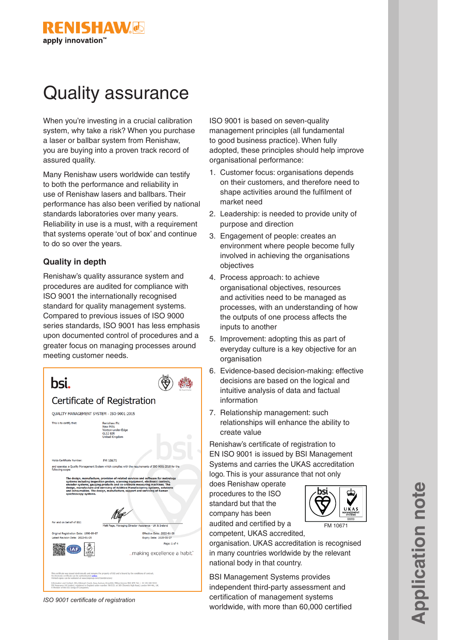

# Quality assurance

When you're investing in a crucial calibration system, why take a risk? When you purchase a laser or ballbar system from Renishaw, you are buying into a proven track record of assured quality.

Many Renishaw users worldwide can testify to both the performance and reliability in use of Renishaw lasers and ballbars. Their performance has also been verified by national standards laboratories over many years. Reliability in use is a must, with a requirement that systems operate 'out of box' and continue to do so over the years.

## **Quality in depth**

Renishaw's quality assurance system and procedures are audited for compliance with ISO 9001 the internationally recognised standard for quality management systems. Compared to previous issues of ISO 9000 series standards, ISO 9001 has less emphasis upon documented control of procedures and a greater focus on managing processes around meeting customer needs.

| bsi.                                                                                                                                                                                                                                                                                                                                                                                                                                                                                                                                       |                                                                                                   |
|--------------------------------------------------------------------------------------------------------------------------------------------------------------------------------------------------------------------------------------------------------------------------------------------------------------------------------------------------------------------------------------------------------------------------------------------------------------------------------------------------------------------------------------------|---------------------------------------------------------------------------------------------------|
| Certificate of Registration                                                                                                                                                                                                                                                                                                                                                                                                                                                                                                                |                                                                                                   |
| QUALITY MANAGEMENT SYSTEM - ISO 9001:2015                                                                                                                                                                                                                                                                                                                                                                                                                                                                                                  |                                                                                                   |
| This is to certify that:                                                                                                                                                                                                                                                                                                                                                                                                                                                                                                                   | Renishaw Plc<br><b>New Mills</b><br>Wotton-under-Edge<br><b>GL12 8JR</b><br><b>United Kingdom</b> |
| Holds Certificate Number:                                                                                                                                                                                                                                                                                                                                                                                                                                                                                                                  | FM 10671                                                                                          |
| following scope:<br>The design, manufacture, provision of related services and software for metrology<br>systems including inspection probes, scanning equipment, electronic controls,<br>encoder systems, gauging products and co-ordinate measuring machines. The<br>design, manufacture and servicing of Additive Manufacturing systems, solutions<br>and consumables. The design, manufacture, support and servicing of Raman<br>spectroscopy systems.                                                                                 |                                                                                                   |
| For and on behalf of BSI:                                                                                                                                                                                                                                                                                                                                                                                                                                                                                                                  | Matt Page, Managing Director Assurance - UK & Ireland                                             |
| Original Registration Date: 1990-09-07<br>Latest Revision Date: 2022-01-25                                                                                                                                                                                                                                                                                                                                                                                                                                                                 | Effective Date: 2022-01-28<br>Expiry Date: 2025-01-27                                             |
|                                                                                                                                                                                                                                                                                                                                                                                                                                                                                                                                            | Page: 1 of 4<br>making excellence a habit."                                                       |
| This certificate was issued electronically and remains the property of BSI and is bound by the conditions of contract.<br>An electronic certificate can be authenticated online.<br>Printed copies can be validated at www.bsigroup.com/ClientDirectory<br>Information and Contact: BSI, Kitemark Court, Davy Avenue, Knowlhill, Milton Keynes MKS 8PP. Tel: + 44 345 080 9000<br>BSI Assurance UK Limited, registered in England under number 7805321 at 389 Chiswick High Road, London W4 4AL, UK.<br>A Monther of the BSI Green of Con- |                                                                                                   |

*ISO 9001 certificate of registration*

ISO 9001 is based on seven-quality management principles (all fundamental to good business practice). When fully adopted, these principles should help improve organisational performance:

- 1. Customer focus: organisations depends on their customers, and therefore need to shape activities around the fulfilment of market need
- 2. Leadership: is needed to provide unity of purpose and direction
- 3. Engagement of people: creates an environment where people become fully involved in achieving the organisations objectives
- 4. Process approach: to achieve organisational objectives, resources and activities need to be managed as processes, with an understanding of how the outputs of one process affects the inputs to another
- 5. Improvement: adopting this as part of everyday culture is a key objective for an organisation
- 6. Evidence-based decision-making: effective decisions are based on the logical and intuitive analysis of data and factual information
- 7. Relationship management: such relationships will enhance the ability to create value

Renishaw's certificate of registration to EN ISO 9001 is issued by BSI Management Systems and carries the UKAS accreditation logo. This is your assurance that not only

does Renishaw operate procedures to the ISO standard but that the company has been audited and certified by a

competent, UKAS accredited,



organisation. UKAS accreditation is recognised in many countries worldwide by the relevant national body in that country.

BSI Management Systems provides independent third-party assessment and certification of management systems worldwide, with more than 60,000 certified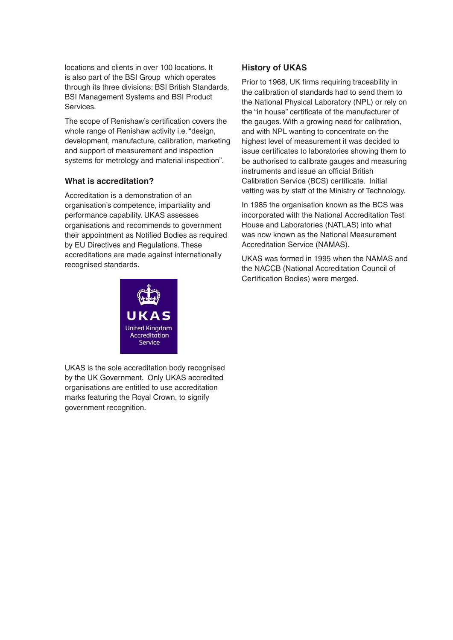locations and clients in over 100 locations. It is also part of the BSI Group which operates through its three divisions: BSI British Standards, BSI Management Systems and BSI Product Services.

The scope of Renishaw's certification covers the whole range of Renishaw activity i.e. "design, development, manufacture, calibration, marketing and support of measurement and inspection systems for metrology and material inspection".

## **What is accreditation?**

Accreditation is a demonstration of an organisation's competence, impartiality and performance capability. UKAS assesses organisations and recommends to government their appointment as Notified Bodies as required by EU Directives and Regulations. These accreditations are made against internationally recognised standards.



UKAS is the sole accreditation body recognised by the UK Government. Only UKAS accredited organisations are entitled to use accreditation marks featuring the Royal Crown, to signify government recognition.

# **History of UKAS**

Prior to 1968, UK firms requiring traceability in the calibration of standards had to send them to the National Physical Laboratory (NPL) or rely on the "in house" certificate of the manufacturer of the gauges. With a growing need for calibration, and with NPL wanting to concentrate on the highest level of measurement it was decided to issue certificates to laboratories showing them to be authorised to calibrate gauges and measuring instruments and issue an official British Calibration Service (BCS) certificate. Initial vetting was by staff of the Ministry of Technology.

In 1985 the organisation known as the BCS was incorporated with the National Accreditation Test House and Laboratories (NATLAS) into what was now known as the National Measurement Accreditation Service (NAMAS).

UKAS was formed in 1995 when the NAMAS and the NACCB (National Accreditation Council of Certification Bodies) were merged.